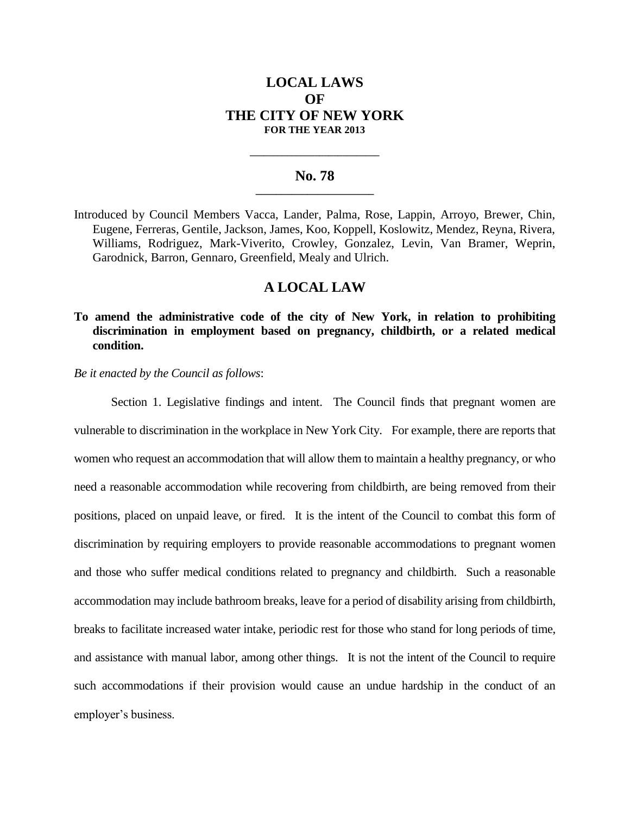# **LOCAL LAWS OF THE CITY OF NEW YORK FOR THE YEAR 2013**

### **No. 78 \_\_\_\_\_\_\_\_\_\_\_\_\_\_\_\_\_\_\_\_\_\_\_**

**\_\_\_\_\_\_\_\_\_\_\_\_\_\_\_\_\_\_\_\_\_\_\_\_\_\_\_\_**

Introduced by Council Members Vacca, Lander, Palma, Rose, Lappin, Arroyo, Brewer, Chin, Eugene, Ferreras, Gentile, Jackson, James, Koo, Koppell, Koslowitz, Mendez, Reyna, Rivera, Williams, Rodriguez, Mark-Viverito, Crowley, Gonzalez, Levin, Van Bramer, Weprin, Garodnick, Barron, Gennaro, Greenfield, Mealy and Ulrich.

## **A LOCAL LAW**

# **To amend the administrative code of the city of New York, in relation to prohibiting discrimination in employment based on pregnancy, childbirth, or a related medical condition.**

*Be it enacted by the Council as follows*:

Section 1. Legislative findings and intent. The Council finds that pregnant women are vulnerable to discrimination in the workplace in New York City. For example, there are reports that women who request an accommodation that will allow them to maintain a healthy pregnancy, or who need a reasonable accommodation while recovering from childbirth, are being removed from their positions, placed on unpaid leave, or fired. It is the intent of the Council to combat this form of discrimination by requiring employers to provide reasonable accommodations to pregnant women and those who suffer medical conditions related to pregnancy and childbirth. Such a reasonable accommodation may include bathroom breaks, leave for a period of disability arising from childbirth, breaks to facilitate increased water intake, periodic rest for those who stand for long periods of time, and assistance with manual labor, among other things. It is not the intent of the Council to require such accommodations if their provision would cause an undue hardship in the conduct of an employer's business.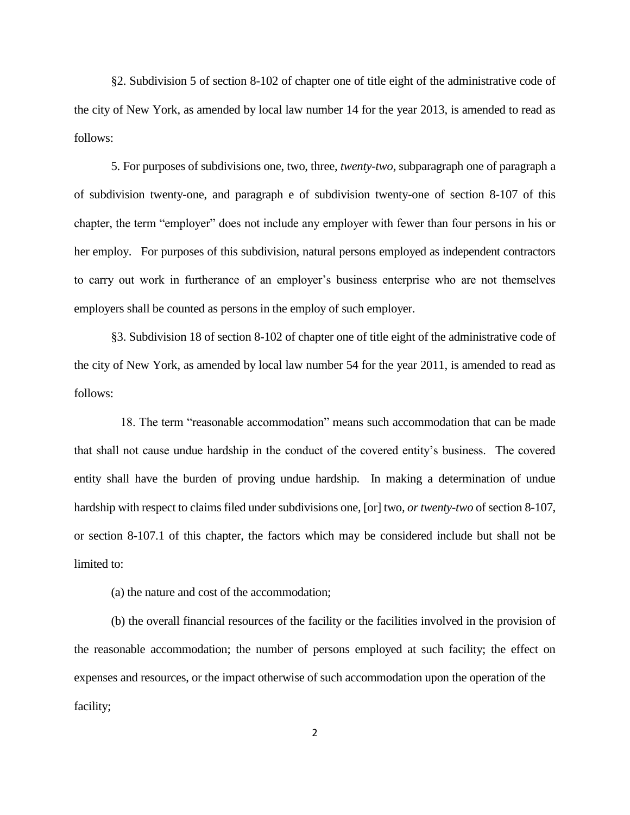§2. Subdivision 5 of section 8-102 of chapter one of title eight of the administrative code of the city of New York, as amended by local law number 14 for the year 2013, is amended to read as follows:

5. For purposes of subdivisions one, two, three, *twenty-two,* subparagraph one of paragraph a of subdivision twenty-one, and paragraph e of subdivision twenty-one of section 8-107 of this chapter, the term "employer" does not include any employer with fewer than four persons in his or her employ. For purposes of this subdivision, natural persons employed as independent contractors to carry out work in furtherance of an employer's business enterprise who are not themselves employers shall be counted as persons in the employ of such employer.

§3. Subdivision 18 of section 8-102 of chapter one of title eight of the administrative code of the city of New York, as amended by local law number 54 for the year 2011, is amended to read as follows:

 18. The term "reasonable accommodation" means such accommodation that can be made that shall not cause undue hardship in the conduct of the covered entity's business. The covered entity shall have the burden of proving undue hardship. In making a determination of undue hardship with respect to claims filed under subdivisions one*,* [or] two*, or twenty-two* of section 8-107*,* or section 8-107.1 of this chapter, the factors which may be considered include but shall not be limited to:

(a) the nature and cost of the accommodation;

(b) the overall financial resources of the facility or the facilities involved in the provision of the reasonable accommodation; the number of persons employed at such facility; the effect on expenses and resources, or the impact otherwise of such accommodation upon the operation of the facility;

2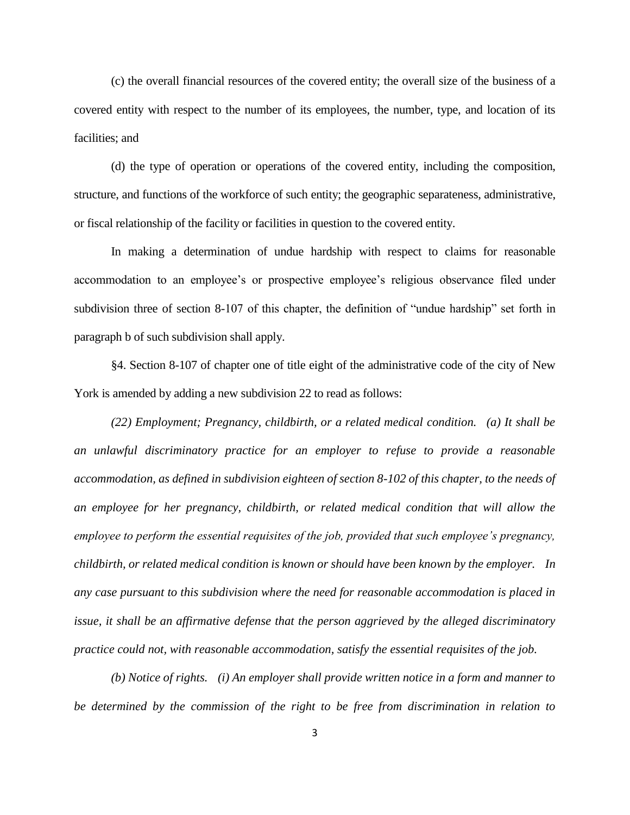(c) the overall financial resources of the covered entity; the overall size of the business of a covered entity with respect to the number of its employees, the number, type, and location of its facilities; and

(d) the type of operation or operations of the covered entity, including the composition, structure, and functions of the workforce of such entity; the geographic separateness, administrative, or fiscal relationship of the facility or facilities in question to the covered entity.

In making a determination of undue hardship with respect to claims for reasonable accommodation to an employee's or prospective employee's religious observance filed under subdivision three of section 8-107 of this chapter, the definition of "undue hardship" set forth in paragraph b of such subdivision shall apply.

§4. Section 8-107 of chapter one of title eight of the administrative code of the city of New York is amended by adding a new subdivision 22 to read as follows:

*(22) Employment; Pregnancy, childbirth, or a related medical condition. (a) It shall be an unlawful discriminatory practice for an employer to refuse to provide a reasonable accommodation, as defined in subdivision eighteen of section 8-102 of this chapter, to the needs of an employee for her pregnancy, childbirth, or related medical condition that will allow the employee to perform the essential requisites of the job, provided that such employee's pregnancy, childbirth, or related medical condition is known or should have been known by the employer. In any case pursuant to this subdivision where the need for reasonable accommodation is placed in issue, it shall be an affirmative defense that the person aggrieved by the alleged discriminatory practice could not, with reasonable accommodation, satisfy the essential requisites of the job.*

*(b) Notice of rights. (i) An employer shall provide written notice in a form and manner to be determined by the commission of the right to be free from discrimination in relation to*